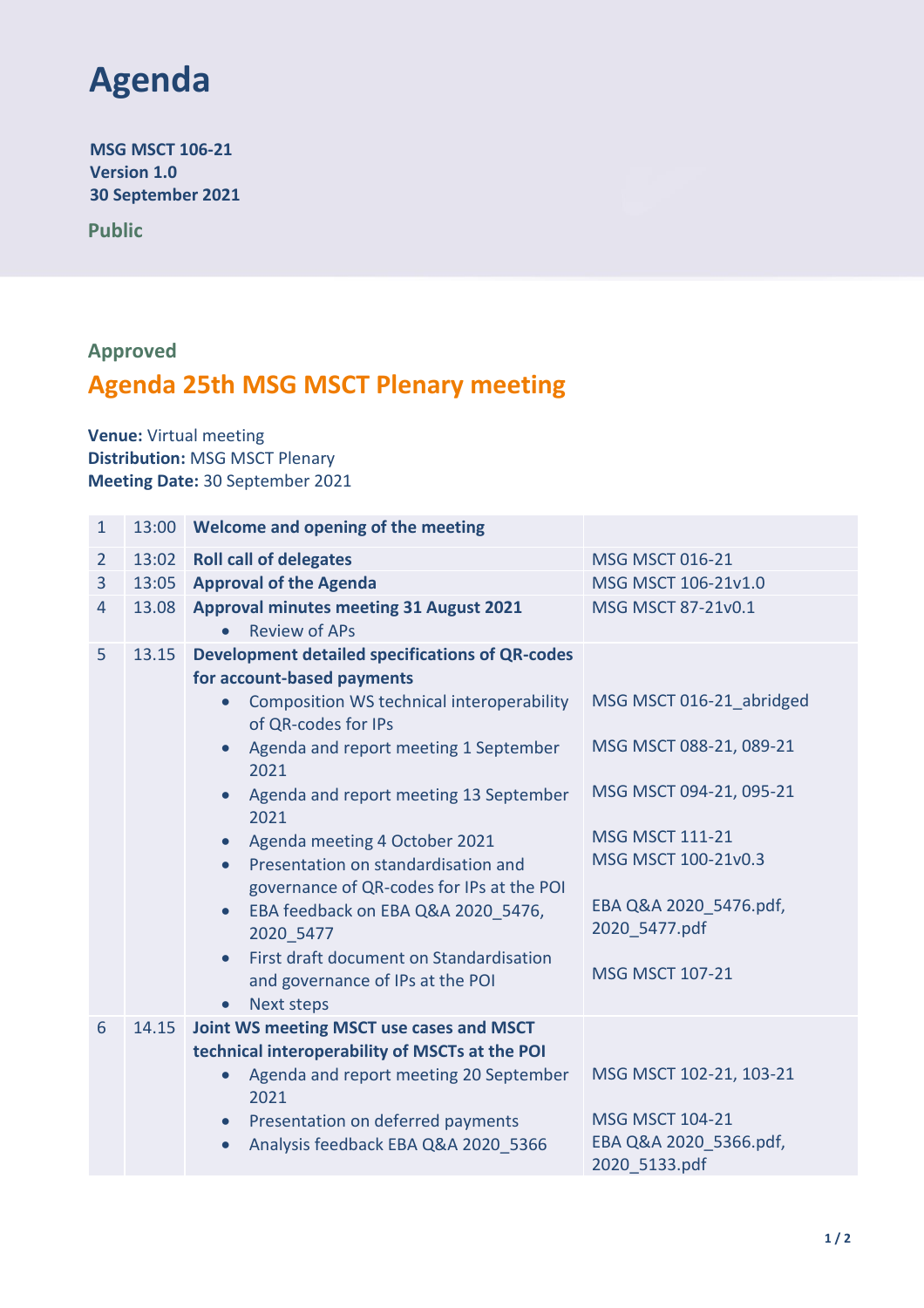

**MSG MSCT 106-21 Version 1.0 30 September 2021**

**Public**

## **Approved**

## **Agenda 25th MSG MSCT Plenary meeting**

**Venue:** Virtual meeting **Distribution:** MSG MSCT Plenary **Meeting Date:** 30 September 2021

| $\mathbf{1}$   | 13:00 | Welcome and opening of the meeting                                                         |                                         |
|----------------|-------|--------------------------------------------------------------------------------------------|-----------------------------------------|
| $\overline{2}$ | 13:02 | <b>Roll call of delegates</b>                                                              | <b>MSG MSCT 016-21</b>                  |
| $\overline{3}$ | 13:05 | <b>Approval of the Agenda</b>                                                              | MSG MSCT 106-21v1.0                     |
| 4              | 13.08 | <b>Approval minutes meeting 31 August 2021</b>                                             | MSG MSCT 87-21v0.1                      |
|                |       | <b>Review of APs</b><br>$\bullet$                                                          |                                         |
| 5              | 13.15 | <b>Development detailed specifications of QR-codes</b><br>for account-based payments       |                                         |
|                |       | Composition WS technical interoperability<br>$\bullet$<br>of QR-codes for IPs              | MSG MSCT 016-21 abridged                |
|                |       | Agenda and report meeting 1 September<br>$\bullet$<br>2021                                 | MSG MSCT 088-21, 089-21                 |
|                |       | Agenda and report meeting 13 September<br>$\bullet$<br>2021                                | MSG MSCT 094-21, 095-21                 |
|                |       | Agenda meeting 4 October 2021<br>$\bullet$                                                 | <b>MSG MSCT 111-21</b>                  |
|                |       | Presentation on standardisation and<br>$\bullet$                                           | MSG MSCT 100-21v0.3                     |
|                |       | governance of QR-codes for IPs at the POI                                                  |                                         |
|                |       | EBA feedback on EBA Q&A 2020 5476,<br>$\bullet$<br>2020 5477                               | EBA Q&A 2020 5476.pdf,<br>2020 5477.pdf |
|                |       | First draft document on Standardisation<br>$\bullet$<br>and governance of IPs at the POI   | <b>MSG MSCT 107-21</b>                  |
|                |       | <b>Next steps</b><br>$\bullet$                                                             |                                         |
| 6              | 14.15 | Joint WS meeting MSCT use cases and MSCT<br>technical interoperability of MSCTs at the POI |                                         |
|                |       | Agenda and report meeting 20 September<br>$\bullet$<br>2021                                | MSG MSCT 102-21, 103-21                 |
|                |       | Presentation on deferred payments<br>$\bullet$                                             | <b>MSG MSCT 104-21</b>                  |
|                |       | Analysis feedback EBA Q&A 2020 5366                                                        | EBA Q&A 2020 5366.pdf,<br>2020 5133.pdf |